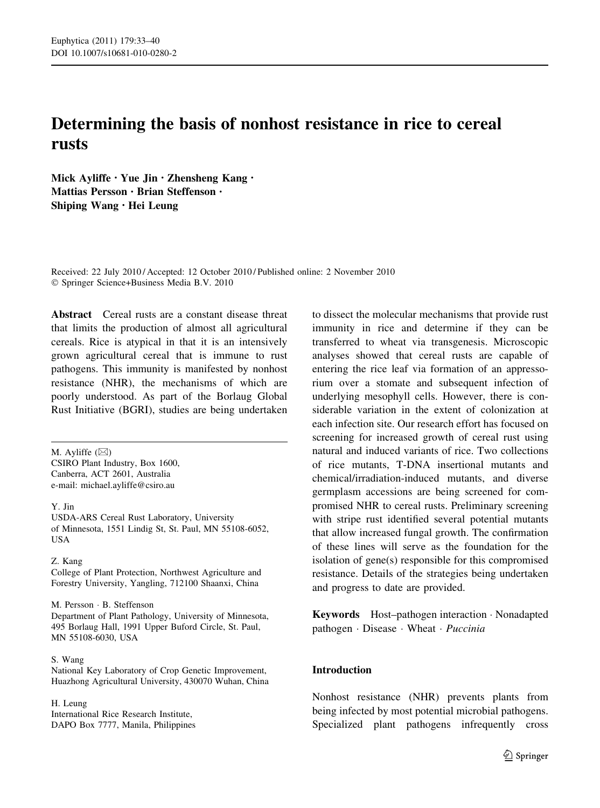# Determining the basis of nonhost resistance in rice to cereal rusts

Mick Ayliffe • Yue Jin • Zhensheng Kang • Mattias Persson • Brian Steffenson • Shiping Wang • Hei Leung

Received: 22 July 2010 / Accepted: 12 October 2010 / Published online: 2 November 2010 © Springer Science+Business Media B.V. 2010

Abstract Cereal rusts are a constant disease threat that limits the production of almost all agricultural cereals. Rice is atypical in that it is an intensively grown agricultural cereal that is immune to rust pathogens. This immunity is manifested by nonhost resistance (NHR), the mechanisms of which are poorly understood. As part of the Borlaug Global Rust Initiative (BGRI), studies are being undertaken

M. Ayliffe  $(\boxtimes)$ CSIRO Plant Industry, Box 1600, Canberra, ACT 2601, Australia e-mail: michael.ayliffe@csiro.au

Y. Jin

USDA-ARS Cereal Rust Laboratory, University of Minnesota, 1551 Lindig St, St. Paul, MN 55108-6052, USA

#### Z. Kang

College of Plant Protection, Northwest Agriculture and Forestry University, Yangling, 712100 Shaanxi, China

M. Persson - B. Steffenson Department of Plant Pathology, University of Minnesota, 495 Borlaug Hall, 1991 Upper Buford Circle, St. Paul, MN 55108-6030, USA

## S. Wang

National Key Laboratory of Crop Genetic Improvement, Huazhong Agricultural University, 430070 Wuhan, China

H. Leung

International Rice Research Institute, DAPO Box 7777, Manila, Philippines to dissect the molecular mechanisms that provide rust immunity in rice and determine if they can be transferred to wheat via transgenesis. Microscopic analyses showed that cereal rusts are capable of entering the rice leaf via formation of an appressorium over a stomate and subsequent infection of underlying mesophyll cells. However, there is considerable variation in the extent of colonization at each infection site. Our research effort has focused on screening for increased growth of cereal rust using natural and induced variants of rice. Two collections of rice mutants, T-DNA insertional mutants and chemical/irradiation-induced mutants, and diverse germplasm accessions are being screened for compromised NHR to cereal rusts. Preliminary screening with stripe rust identified several potential mutants that allow increased fungal growth. The confirmation of these lines will serve as the foundation for the isolation of gene(s) responsible for this compromised resistance. Details of the strategies being undertaken and progress to date are provided.

Keywords Host–pathogen interaction - Nonadapted pathogen · Disease · Wheat · Puccinia

## Introduction

Nonhost resistance (NHR) prevents plants from being infected by most potential microbial pathogens. Specialized plant pathogens infrequently cross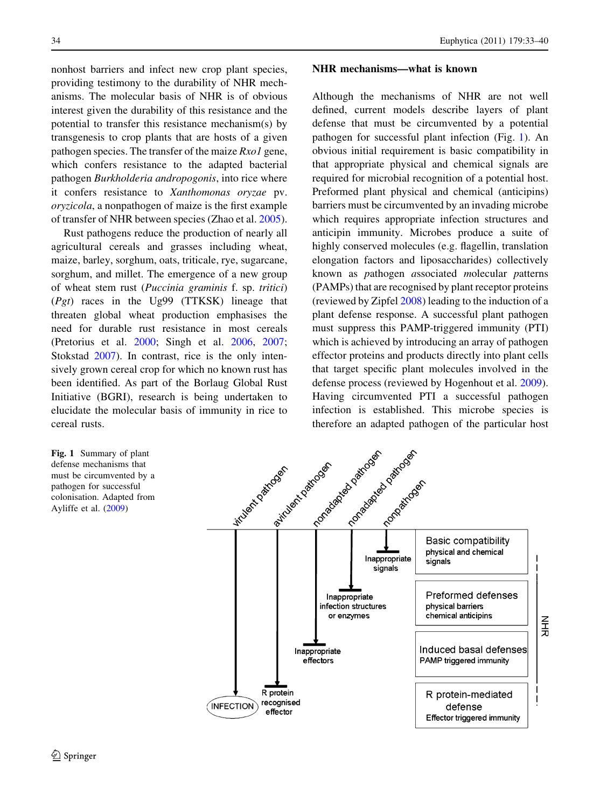nonhost barriers and infect new crop plant species, providing testimony to the durability of NHR mechanisms. The molecular basis of NHR is of obvious interest given the durability of this resistance and the potential to transfer this resistance mechanism(s) by transgenesis to crop plants that are hosts of a given pathogen species. The transfer of the maize  $Rxol$  gene, which confers resistance to the adapted bacterial pathogen Burkholderia andropogonis, into rice where it confers resistance to Xanthomonas oryzae pv. oryzicola, a nonpathogen of maize is the first example of transfer of NHR between species (Zhao et al. [2005](#page-7-0)).

Rust pathogens reduce the production of nearly all agricultural cereals and grasses including wheat, maize, barley, sorghum, oats, triticale, rye, sugarcane, sorghum, and millet. The emergence of a new group of wheat stem rust (Puccinia graminis f. sp. tritici)  $(Pgt)$  races in the Ug99 (TTKSK) lineage that threaten global wheat production emphasises the need for durable rust resistance in most cereals (Pretorius et al. [2000](#page-6-0); Singh et al. [2006,](#page-6-0) [2007](#page-6-0); Stokstad [2007\)](#page-7-0). In contrast, rice is the only intensively grown cereal crop for which no known rust has been identified. As part of the Borlaug Global Rust Initiative (BGRI), research is being undertaken to elucidate the molecular basis of immunity in rice to cereal rusts.

Fig. 1 Summary of plant defense mechanisms that must be circumvented by a pathogen for successful colonisation. Adapted from Ayliffe et al. [\(2009](#page-6-0))

#### NHR mechanisms—what is known

Although the mechanisms of NHR are not well defined, current models describe layers of plant defense that must be circumvented by a potential pathogen for successful plant infection (Fig. 1). An obvious initial requirement is basic compatibility in that appropriate physical and chemical signals are required for microbial recognition of a potential host. Preformed plant physical and chemical (anticipins) barriers must be circumvented by an invading microbe which requires appropriate infection structures and anticipin immunity. Microbes produce a suite of highly conserved molecules (e.g. flagellin, translation elongation factors and liposaccharides) collectively known as pathogen associated molecular patterns (PAMPs) that are recognised by plant receptor proteins (reviewed by Zipfel [2008](#page-7-0)) leading to the induction of a plant defense response. A successful plant pathogen must suppress this PAMP-triggered immunity (PTI) which is achieved by introducing an array of pathogen effector proteins and products directly into plant cells that target specific plant molecules involved in the defense process (reviewed by Hogenhout et al. [2009](#page-6-0)). Having circumvented PTI a successful pathogen infection is established. This microbe species is therefore an adapted pathogen of the particular host

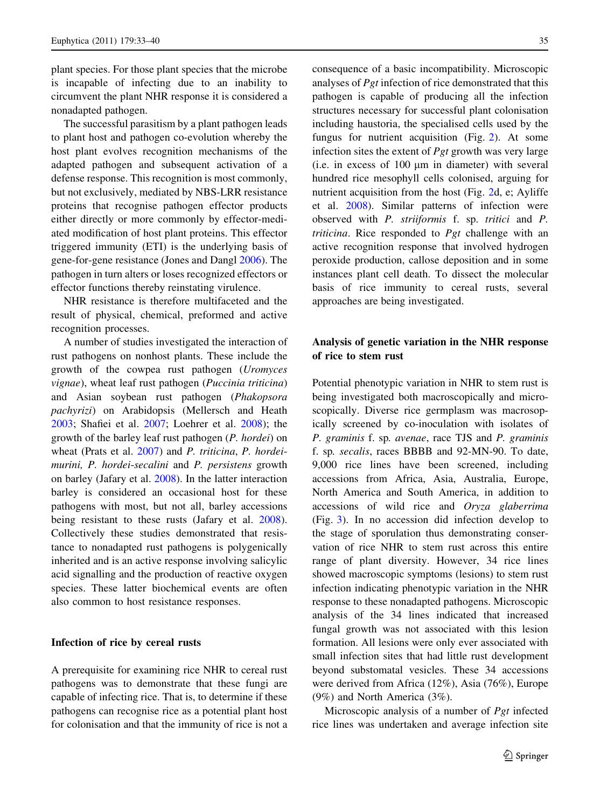plant species. For those plant species that the microbe is incapable of infecting due to an inability to circumvent the plant NHR response it is considered a nonadapted pathogen.

The successful parasitism by a plant pathogen leads to plant host and pathogen co-evolution whereby the host plant evolves recognition mechanisms of the adapted pathogen and subsequent activation of a defense response. This recognition is most commonly, but not exclusively, mediated by NBS-LRR resistance proteins that recognise pathogen effector products either directly or more commonly by effector-mediated modification of host plant proteins. This effector triggered immunity (ETI) is the underlying basis of gene-for-gene resistance (Jones and Dangl [2006](#page-6-0)). The pathogen in turn alters or loses recognized effectors or effector functions thereby reinstating virulence.

NHR resistance is therefore multifaceted and the result of physical, chemical, preformed and active recognition processes.

A number of studies investigated the interaction of rust pathogens on nonhost plants. These include the growth of the cowpea rust pathogen (Uromyces vignae), wheat leaf rust pathogen (Puccinia triticina) and Asian soybean rust pathogen (Phakopsora pachyrizi) on Arabidopsis (Mellersch and Heath [2003;](#page-6-0) Shafiei et al. [2007](#page-6-0); Loehrer et al. [2008\)](#page-6-0); the growth of the barley leaf rust pathogen (P. hordei) on wheat (Prats et al. [2007](#page-6-0)) and P. triticina, P. hordeimurini, P. hordei-secalini and P. persistens growth on barley (Jafary et al. [2008\)](#page-6-0). In the latter interaction barley is considered an occasional host for these pathogens with most, but not all, barley accessions being resistant to these rusts (Jafary et al. [2008](#page-6-0)). Collectively these studies demonstrated that resistance to nonadapted rust pathogens is polygenically inherited and is an active response involving salicylic acid signalling and the production of reactive oxygen species. These latter biochemical events are often also common to host resistance responses.

#### Infection of rice by cereal rusts

A prerequisite for examining rice NHR to cereal rust pathogens was to demonstrate that these fungi are capable of infecting rice. That is, to determine if these pathogens can recognise rice as a potential plant host for colonisation and that the immunity of rice is not a

consequence of a basic incompatibility. Microscopic analyses of Pgt infection of rice demonstrated that this pathogen is capable of producing all the infection structures necessary for successful plant colonisation including haustoria, the specialised cells used by the fungus for nutrient acquisition (Fig. [2\)](#page-3-0). At some infection sites the extent of  $Pgt$  growth was very large  $(i.e.$  in excess of 100  $\mu$ m in diameter) with several hundred rice mesophyll cells colonised, arguing for nutrient acquisition from the host (Fig. [2d](#page-3-0), e; Ayliffe et al. [2008\)](#page-6-0). Similar patterns of infection were observed with P. striiformis f. sp. tritici and P. triticina. Rice responded to *Pgt* challenge with an active recognition response that involved hydrogen peroxide production, callose deposition and in some instances plant cell death. To dissect the molecular basis of rice immunity to cereal rusts, several approaches are being investigated.

## Analysis of genetic variation in the NHR response of rice to stem rust

Potential phenotypic variation in NHR to stem rust is being investigated both macroscopically and microscopically. Diverse rice germplasm was macrosopically screened by co-inoculation with isolates of P. graminis f. sp. avenae, race TJS and P. graminis f. sp. secalis, races BBBB and 92-MN-90. To date, 9,000 rice lines have been screened, including accessions from Africa, Asia, Australia, Europe, North America and South America, in addition to accessions of wild rice and Oryza glaberrima (Fig. [3](#page-4-0)). In no accession did infection develop to the stage of sporulation thus demonstrating conservation of rice NHR to stem rust across this entire range of plant diversity. However, 34 rice lines showed macroscopic symptoms (lesions) to stem rust infection indicating phenotypic variation in the NHR response to these nonadapted pathogens. Microscopic analysis of the 34 lines indicated that increased fungal growth was not associated with this lesion formation. All lesions were only ever associated with small infection sites that had little rust development beyond substomatal vesicles. These 34 accessions were derived from Africa (12%), Asia (76%), Europe (9%) and North America (3%).

Microscopic analysis of a number of Pgt infected rice lines was undertaken and average infection site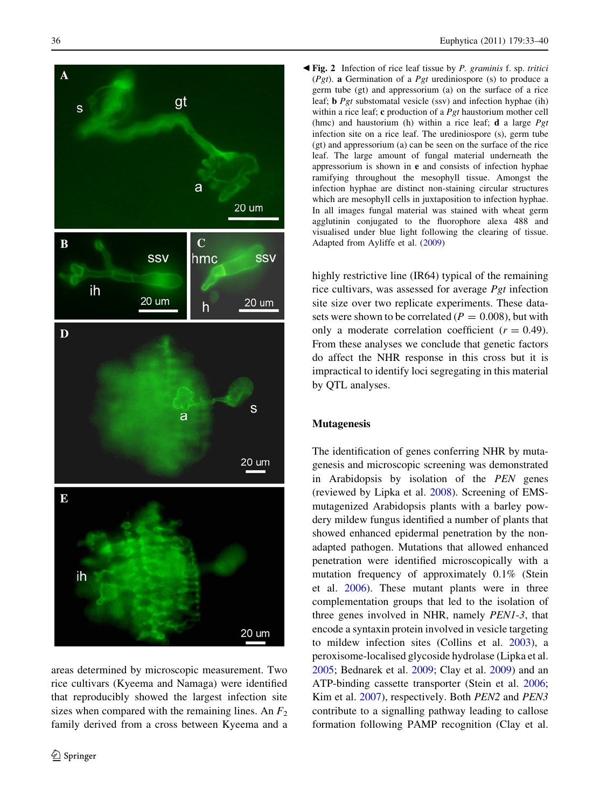<span id="page-3-0"></span>

areas determined by microscopic measurement. Two rice cultivars (Kyeema and Namaga) were identified that reproducibly showed the largest infection site sizes when compared with the remaining lines. An  $F_2$ family derived from a cross between Kyeema and a

Fig. 2 Infection of rice leaf tissue by P. graminis f. sp. tritici b (Pgt). a Germination of a Pgt urediniospore (s) to produce a germ tube (gt) and appressorium (a) on the surface of a rice leaf; b Pgt substomatal vesicle (ssv) and infection hyphae (ih) within a rice leaf; c production of a *Pgt* haustorium mother cell (hmc) and haustorium (h) within a rice leaf; **d** a large  $Pgt$ infection site on a rice leaf. The urediniospore (s), germ tube (gt) and appressorium (a) can be seen on the surface of the rice leaf. The large amount of fungal material underneath the appressorium is shown in e and consists of infection hyphae ramifying throughout the mesophyll tissue. Amongst the infection hyphae are distinct non-staining circular structures which are mesophyll cells in juxtaposition to infection hyphae. In all images fungal material was stained with wheat germ agglutinin conjugated to the fluorophore alexa 488 and visualised under blue light following the clearing of tissue. Adapted from Ayliffe et al. [\(2009](#page-6-0))

highly restrictive line (IR64) typical of the remaining rice cultivars, was assessed for average Pgt infection site size over two replicate experiments. These datasets were shown to be correlated ( $P = 0.008$ ), but with only a moderate correlation coefficient  $(r = 0.49)$ . From these analyses we conclude that genetic factors do affect the NHR response in this cross but it is impractical to identify loci segregating in this material by QTL analyses.

#### Mutagenesis

The identification of genes conferring NHR by mutagenesis and microscopic screening was demonstrated in Arabidopsis by isolation of the PEN genes (reviewed by Lipka et al. [2008](#page-6-0)). Screening of EMSmutagenized Arabidopsis plants with a barley powdery mildew fungus identified a number of plants that showed enhanced epidermal penetration by the nonadapted pathogen. Mutations that allowed enhanced penetration were identified microscopically with a mutation frequency of approximately 0.1% (Stein et al. [2006](#page-7-0)). These mutant plants were in three complementation groups that led to the isolation of three genes involved in NHR, namely PEN1-3, that encode a syntaxin protein involved in vesicle targeting to mildew infection sites (Collins et al. [2003](#page-6-0)), a peroxisome-localised glycoside hydrolase (Lipka et al. [2005;](#page-6-0) Bednarek et al. [2009;](#page-6-0) Clay et al. [2009\)](#page-6-0) and an ATP-binding cassette transporter (Stein et al. [2006](#page-7-0); Kim et al. [2007\)](#page-6-0), respectively. Both PEN2 and PEN3 contribute to a signalling pathway leading to callose formation following PAMP recognition (Clay et al.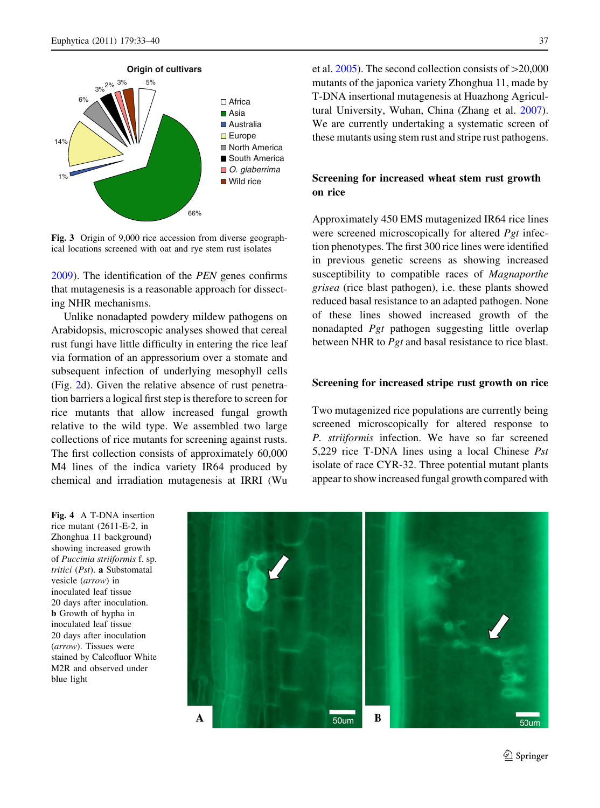<span id="page-4-0"></span>

Fig. 3 Origin of 9,000 rice accession from diverse geographical locations screened with oat and rye stem rust isolates

[2009\)](#page-6-0). The identification of the PEN genes confirms that mutagenesis is a reasonable approach for dissecting NHR mechanisms.

Unlike nonadapted powdery mildew pathogens on Arabidopsis, microscopic analyses showed that cereal rust fungi have little difficulty in entering the rice leaf via formation of an appressorium over a stomate and subsequent infection of underlying mesophyll cells (Fig. [2](#page-3-0)d). Given the relative absence of rust penetration barriers a logical first step is therefore to screen for rice mutants that allow increased fungal growth relative to the wild type. We assembled two large collections of rice mutants for screening against rusts. The first collection consists of approximately 60,000 M4 lines of the indica variety IR64 produced by chemical and irradiation mutagenesis at IRRI (Wu

et al.  $2005$ ). The second collection consists of  $>20,000$ mutants of the japonica variety Zhonghua 11, made by T-DNA insertional mutagenesis at Huazhong Agricultural University, Wuhan, China (Zhang et al. [2007\)](#page-7-0). We are currently undertaking a systematic screen of these mutants using stem rust and stripe rust pathogens.

# Screening for increased wheat stem rust growth on rice

Approximately 450 EMS mutagenized IR64 rice lines were screened microscopically for altered *Pgt* infection phenotypes. The first 300 rice lines were identified in previous genetic screens as showing increased susceptibility to compatible races of Magnaporthe grisea (rice blast pathogen), i.e. these plants showed reduced basal resistance to an adapted pathogen. None of these lines showed increased growth of the nonadapted Pgt pathogen suggesting little overlap between NHR to *Pgt* and basal resistance to rice blast.

### Screening for increased stripe rust growth on rice

Two mutagenized rice populations are currently being screened microscopically for altered response to P. striiformis infection. We have so far screened 5,229 rice T-DNA lines using a local Chinese Pst isolate of race CYR-32. Three potential mutant plants appear to show increased fungal growth compared with

Fig. 4 A T-DNA insertion rice mutant (2611-E-2, in Zhonghua 11 background) showing increased growth of Puccinia striiformis f. sp. tritici (Pst). a Substomatal vesicle (arrow) in inoculated leaf tissue 20 days after inoculation. b Growth of hypha in inoculated leaf tissue 20 days after inoculation (arrow). Tissues were stained by Calcofluor White M2R and observed under blue light

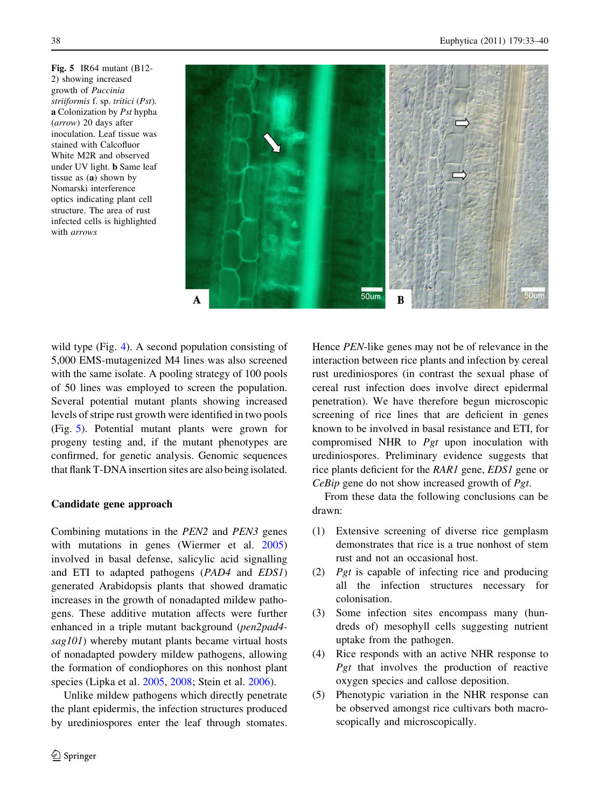Fig. 5 IR64 mutant (B12- 2) showing increased growth of Puccinia striiformis f. sp. tritici (Pst). a Colonization by Pst hypha (arrow) 20 days after inoculation. Leaf tissue was stained with Calcofluor White M2R and observed under UV light. b Same leaf tissue as (a) shown by Nomarski interference optics indicating plant cell structure. The area of rust infected cells is highlighted with arrows



wild type (Fig. [4](#page-4-0)). A second population consisting of 5,000 EMS-mutagenized M4 lines was also screened with the same isolate. A pooling strategy of 100 pools of 50 lines was employed to screen the population. Several potential mutant plants showing increased levels of stripe rust growth were identified in two pools (Fig. 5). Potential mutant plants were grown for progeny testing and, if the mutant phenotypes are confirmed, for genetic analysis. Genomic sequences that flank T-DNA insertion sites are also being isolated.

## Candidate gene approach

Combining mutations in the PEN2 and PEN3 genes with mutations in genes (Wiermer et al. [2005\)](#page-7-0) involved in basal defense, salicylic acid signalling and ETI to adapted pathogens (PAD4 and EDS1) generated Arabidopsis plants that showed dramatic increases in the growth of nonadapted mildew pathogens. These additive mutation affects were further enhanced in a triple mutant background (pen2pad4 sag101) whereby mutant plants became virtual hosts of nonadapted powdery mildew pathogens, allowing the formation of condiophores on this nonhost plant species (Lipka et al. [2005](#page-6-0), [2008](#page-6-0); Stein et al. [2006\)](#page-7-0).

Unlike mildew pathogens which directly penetrate the plant epidermis, the infection structures produced by urediniospores enter the leaf through stomates. Hence PEN-like genes may not be of relevance in the interaction between rice plants and infection by cereal rust urediniospores (in contrast the sexual phase of cereal rust infection does involve direct epidermal penetration). We have therefore begun microscopic screening of rice lines that are deficient in genes known to be involved in basal resistance and ETI, for compromised NHR to Pgt upon inoculation with urediniospores. Preliminary evidence suggests that rice plants deficient for the RAR1 gene, EDS1 gene or CeBip gene do not show increased growth of Pgt.

From these data the following conclusions can be drawn:

- (1) Extensive screening of diverse rice gemplasm demonstrates that rice is a true nonhost of stem rust and not an occasional host.
- (2) Pgt is capable of infecting rice and producing all the infection structures necessary for colonisation.
- (3) Some infection sites encompass many (hundreds of) mesophyll cells suggesting nutrient uptake from the pathogen.
- (4) Rice responds with an active NHR response to Pgt that involves the production of reactive oxygen species and callose deposition.
- (5) Phenotypic variation in the NHR response can be observed amongst rice cultivars both macroscopically and microscopically.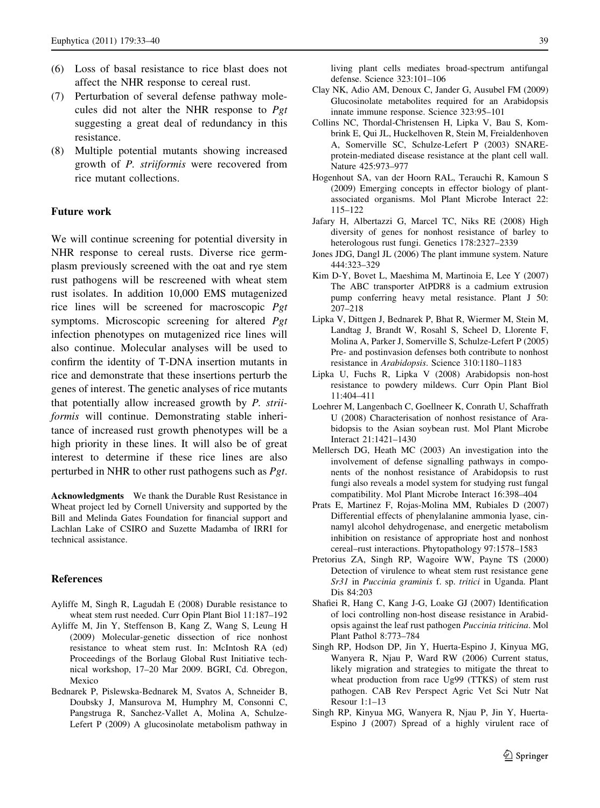- <span id="page-6-0"></span>(6) Loss of basal resistance to rice blast does not affect the NHR response to cereal rust.
- (7) Perturbation of several defense pathway molecules did not alter the NHR response to Pgt suggesting a great deal of redundancy in this resistance.
- (8) Multiple potential mutants showing increased growth of P. striiformis were recovered from rice mutant collections.

#### Future work

We will continue screening for potential diversity in NHR response to cereal rusts. Diverse rice germplasm previously screened with the oat and rye stem rust pathogens will be rescreened with wheat stem rust isolates. In addition 10,000 EMS mutagenized rice lines will be screened for macroscopic Pgt symptoms. Microscopic screening for altered Pgt infection phenotypes on mutagenized rice lines will also continue. Molecular analyses will be used to confirm the identity of T-DNA insertion mutants in rice and demonstrate that these insertions perturb the genes of interest. The genetic analyses of rice mutants that potentially allow increased growth by P. striiformis will continue. Demonstrating stable inheritance of increased rust growth phenotypes will be a high priority in these lines. It will also be of great interest to determine if these rice lines are also perturbed in NHR to other rust pathogens such as Pgt.

Acknowledgments We thank the Durable Rust Resistance in Wheat project led by Cornell University and supported by the Bill and Melinda Gates Foundation for financial support and Lachlan Lake of CSIRO and Suzette Madamba of IRRI for technical assistance.

#### References

- Ayliffe M, Singh R, Lagudah E (2008) Durable resistance to wheat stem rust needed. Curr Opin Plant Biol 11:187–192
- Ayliffe M, Jin Y, Steffenson B, Kang Z, Wang S, Leung H (2009) Molecular-genetic dissection of rice nonhost resistance to wheat stem rust. In: McIntosh RA (ed) Proceedings of the Borlaug Global Rust Initiative technical workshop, 17–20 Mar 2009. BGRI, Cd. Obregon, Mexico
- Bednarek P, Pislewska-Bednarek M, Svatos A, Schneider B, Doubsky J, Mansurova M, Humphry M, Consonni C, Pangstruga R, Sanchez-Vallet A, Molina A, Schulze-Lefert P (2009) A glucosinolate metabolism pathway in

living plant cells mediates broad-spectrum antifungal defense. Science 323:101–106

- Clay NK, Adio AM, Denoux C, Jander G, Ausubel FM (2009) Glucosinolate metabolites required for an Arabidopsis innate immune response. Science 323:95–101
- Collins NC, Thordal-Christensen H, Lipka V, Bau S, Kombrink E, Qui JL, Huckelhoven R, Stein M, Freialdenhoven A, Somerville SC, Schulze-Lefert P (2003) SNAREprotein-mediated disease resistance at the plant cell wall. Nature 425:973–977
- Hogenhout SA, van der Hoorn RAL, Terauchi R, Kamoun S (2009) Emerging concepts in effector biology of plantassociated organisms. Mol Plant Microbe Interact 22: 115–122
- Jafary H, Albertazzi G, Marcel TC, Niks RE (2008) High diversity of genes for nonhost resistance of barley to heterologous rust fungi. Genetics 178:2327–2339
- Jones JDG, Dangl JL (2006) The plant immune system. Nature 444:323–329
- Kim D-Y, Bovet L, Maeshima M, Martinoia E, Lee Y (2007) The ABC transporter AtPDR8 is a cadmium extrusion pump conferring heavy metal resistance. Plant J 50: 207–218
- Lipka V, Dittgen J, Bednarek P, Bhat R, Wiermer M, Stein M, Landtag J, Brandt W, Rosahl S, Scheel D, Llorente F, Molina A, Parker J, Somerville S, Schulze-Lefert P (2005) Pre- and postinvasion defenses both contribute to nonhost resistance in Arabidopsis. Science 310:1180–1183
- Lipka U, Fuchs R, Lipka V (2008) Arabidopsis non-host resistance to powdery mildews. Curr Opin Plant Biol 11:404–411
- Loehrer M, Langenbach C, Goellneer K, Conrath U, Schaffrath U (2008) Characterisation of nonhost resistance of Arabidopsis to the Asian soybean rust. Mol Plant Microbe Interact 21:1421–1430
- Mellersch DG, Heath MC (2003) An investigation into the involvement of defense signalling pathways in components of the nonhost resistance of Arabidopsis to rust fungi also reveals a model system for studying rust fungal compatibility. Mol Plant Microbe Interact 16:398–404
- Prats E, Martinez F, Rojas-Molina MM, Rubiales D (2007) Differential effects of phenylalanine ammonia lyase, cinnamyl alcohol dehydrogenase, and energetic metabolism inhibition on resistance of appropriate host and nonhost cereal–rust interactions. Phytopathology 97:1578–1583
- Pretorius ZA, Singh RP, Wagoire WW, Payne TS (2000) Detection of virulence to wheat stem rust resistance gene Sr31 in Puccinia graminis f. sp. tritici in Uganda. Plant Dis 84:203
- Shafiei R, Hang C, Kang J-G, Loake GJ (2007) Identification of loci controlling non-host disease resistance in Arabidopsis against the leaf rust pathogen Puccinia triticina. Mol Plant Pathol 8:773–784
- Singh RP, Hodson DP, Jin Y, Huerta-Espino J, Kinyua MG, Wanyera R, Njau P, Ward RW (2006) Current status, likely migration and strategies to mitigate the threat to wheat production from race Ug99 (TTKS) of stem rust pathogen. CAB Rev Perspect Agric Vet Sci Nutr Nat Resour 1:1–13
- Singh RP, Kinyua MG, Wanyera R, Njau P, Jin Y, Huerta-Espino J (2007) Spread of a highly virulent race of